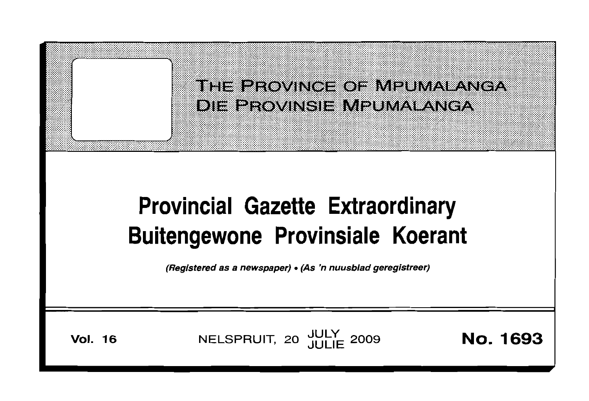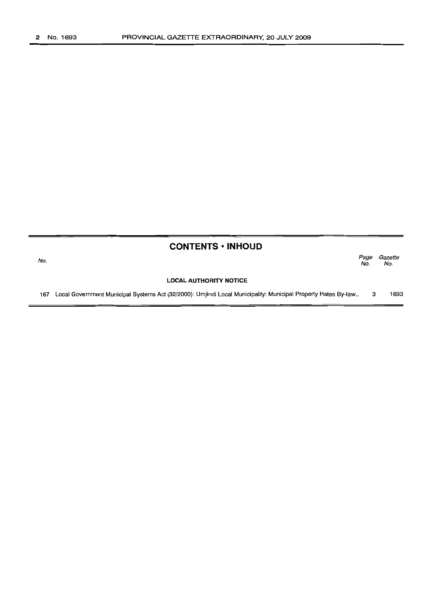$\blacksquare$ 

|     | <b>CONTENTS • INHOUD</b>                                                                                      |             |                |
|-----|---------------------------------------------------------------------------------------------------------------|-------------|----------------|
| No. |                                                                                                               | Page<br>No. | Gazette<br>No. |
|     | <b>LOCAL AUTHORITY NOTICE</b>                                                                                 |             |                |
| 167 | Local Government Municipal Systems Act (32/2000): Umjindi Local Municipality: Municipal Property Rates By-law | з           | 1693           |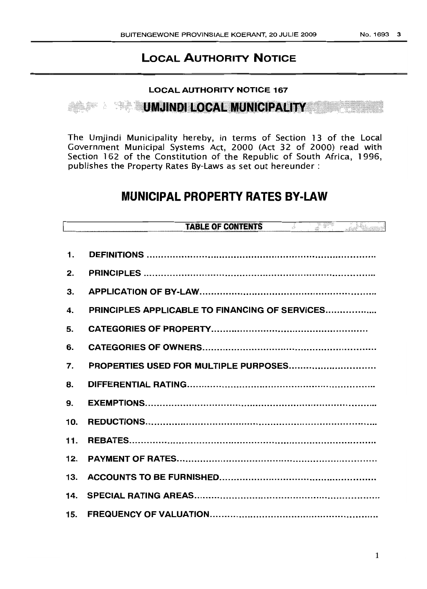# LOCAL AUTHORITY NOTICE

## LOCAL AUTHORITY NOTICE 167

<11I8111.1I1;1I1I\_1I11I1:\_'.Illdl.i.i•••••••• ••••••••••••••••••·iiiii·················· <sup>X</sup>

The Umjindi Municipality hereby, in terms of Section 13 of the Local Government Municipal Systems Act, 2000 (Act 32 of 2000) read with Section 162 of the Constitution of the Republic of South Africa, 1996, publishes the Property Rates By-Laws as set out hereunder:

# MUNICIPAL PROPERTY RATES BY-LAW

|     | <b>TABLE OF CONTENTS</b><br>e e differente.<br>Nati<br>Junior Co |
|-----|------------------------------------------------------------------|
|     |                                                                  |
| 1.  |                                                                  |
| 2.  |                                                                  |
| 3.  |                                                                  |
| 4.  | <b>PRINCIPLES APPLICABLE TO FINANCING OF SERVICES</b>            |
| 5.  |                                                                  |
| 6.  |                                                                  |
| 7.  | PROPERTIES USED FOR MULTIPLE PURPOSES                            |
| 8.  |                                                                  |
| 9.  |                                                                  |
| 10. |                                                                  |
| 11. |                                                                  |
| 12. |                                                                  |
| 13. |                                                                  |
| 14. |                                                                  |
| 15. |                                                                  |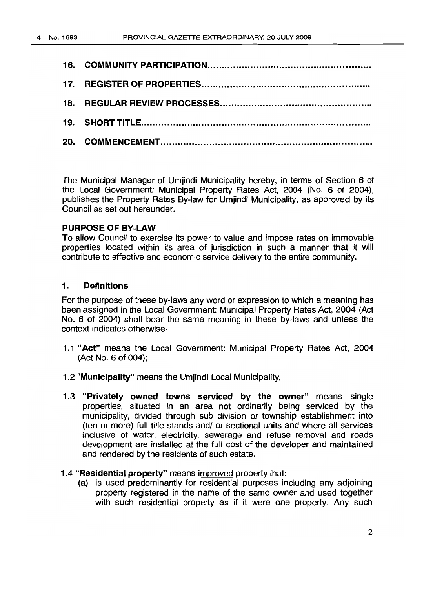The Municipal Manager of Umjindi Municipality hereby, in terms of Section 6 of the Local Government: Municipal Property Rates Act, 2004 (No. 6 of 2004), publishes the Property Rates By-law for Umjindi Municipality, as approved by its Council as set out hereunder.

# PURPOSE OF BY-LAW

To allow Council to exercise its power to value and impose rates on immovable properties located within its area of jurisdiction in such a manner that it will contribute to effective and economic service delivery to the entire community.

## 1. Definitions

For the purpose of these by-laws any word or expression to which a meaning has been assigned in the Local Government: Municipal Property Rates Act, 2004 (Act No. 6 of 2004) shall bear the same meaning in these by-laws and unless the context indicates otherwise-

- 1.1 "Act" means the Local Government: Municipal Property Rates Act, 2004  $(Act No. 6 of 004);$
- 1.2 "Municipality" means the Umjindi Local Municipality;
- 1.3 "Privately owned towns serviced by the owner" means single properties, situated in an area not ordinarily being serviced by the municipality, divided through sub division or township establishment into (ten or more) full title stands and/ or sectional units and where all services inclusive of water, electricity, sewerage and refuse removal and roads development are installed at the full cost of the developer and maintained and rendered by the residents of such estate.

### 1.4 "Residential property" means improved property that:

(a) is used predominantly for residential purposes including any adjoining property registered in the name of the same owner and used together with such residential property as if it were one property. Any such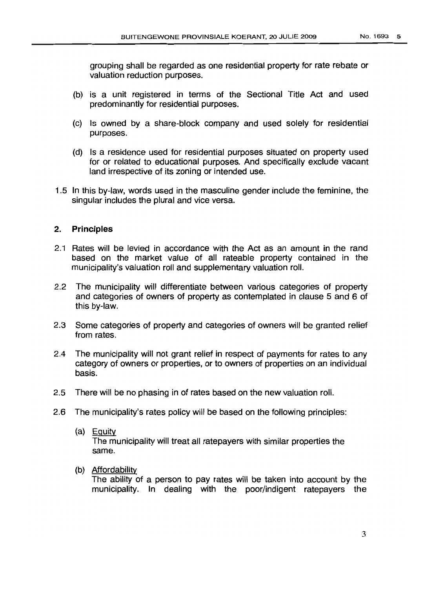grouping shall be regarded as one residential property for rate rebate or valuation reduction purposes.

- (b) is a unit registered in terms of the Sectional Title Act and used predominantly for residential purposes.
- (c) Is owned by a share-block company and used solely for residential purposes.
- (d) Is a residence used for residential purposes situated on property used for or related to educational purposes. And specifically exclude vacant land irrespective of its zoning or intended use.
- 1.5 In this by-law, words used in the masculine gender include the feminine, the singular includes the plural and vice versa.

### 2. **Principles**

- 2.1 Rates will be levied in accordance with the Act as an amount in the rand based on the market value of all rateable property contained in the municipality's valuation roll and supplementary valuation roll.
- 2.2 The municipality will differentiate between various categories of property and categories of owners of property as contemplated in clause 5 and 6 of this by-law.
- 2.3 Some categories of property and categories of owners will be granted relief from rates.
- 2.4 The municipality will not grant relief in respect of payments for rates to any category of owners or properties, or to owners of properties on an individual basis.
- 2.5 There will be no phasing in of rates based on the new valuation roll.
- 2.6 The municipality's rates policy will be based on the following principles:
	- (a) Equitv The municipality will treat all ratepayers with similar properties the same.
	- (b) Affordability

The ability of a person to pay rates will be taken into account by the municipality. **In** dealing with the poor/indigent ratepayers the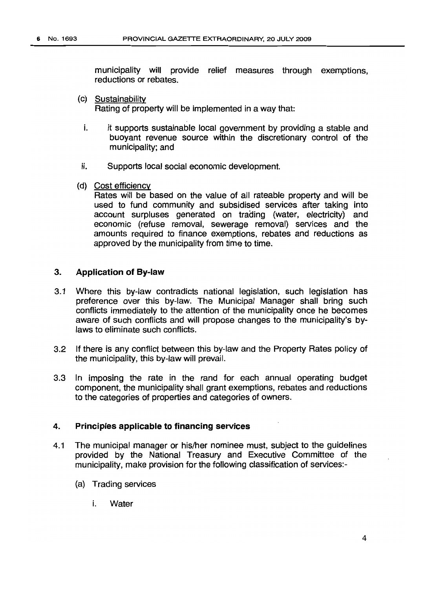municipality will provide relief measures through exemptions, reductions or rebates.

- (c) Sustainabilitv Rating of property will be implemented in a way that:
	- i. it supports sustainable local government by providing a stable and buoyant revenue source within the discretionary control of the municipality; and
- ii. Supports local social economic development.
- (d) Cost efficiency

Rates will be based on the value of all rateable property and will be used to fund community and subsidised services after taking into account surpluses generated on trading (water, electricity) and economic (refuse removal, sewerage removal) services and the amounts required to finance exemptions, rebates and reductions as approved by the municipality from time to time.

## **3. Application of By-law**

- 3.1 Where this by-law contradicts national legislation, such legislation has preference over this by-law. The Municipal Manager shall bring such conflicts immediately to the attention of the municipality once he becomes aware of such conflicts and will propose changes to the municipality's bylaws to eliminate such conflicts.
- 3.2 If there is any conflict between this by-law and the Property Rates policy of the municipality, this by-law will prevail.
- 3.3 In imposing the rate in the rand for each annual operating budget component, the municipality shall grant exemptions, rebates and reductions to the categories of properties and categories of owners.

#### **4. Principles applicable to financing services**

- 4.1 The municipal manager or his/her nominee must, subject to the guidelines provided by the National Treasury and Executive Committee of the municipality, make provision for the following classification of services:-
	- (a) Trading services
		- i. Water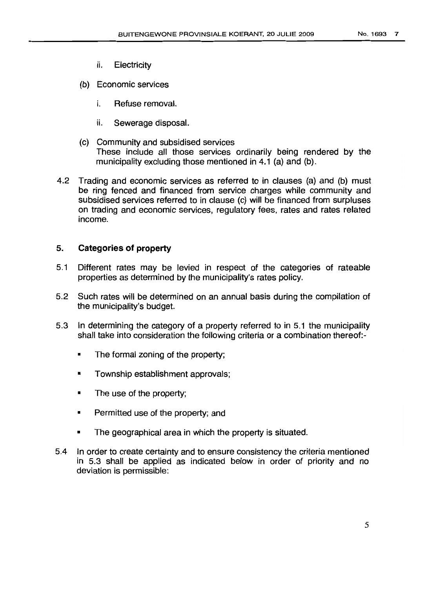- ii. Electricity
- (b) Economic services
	- i. Refuse removal.
	- ii. Sewerage disposal.
- (c) Community and subsidised services These include all those services ordinarily being rendered by the municipality excluding those mentioned in 4.1 (a) and (b).
- 4.2 Trading and economic services as referred to in clauses (a) and (b) must be ring fenced and financed from service charges while community and subsidised services referred to in clause (c) will be financed from surpluses on trading and economic services, regulatory fees, rates and rates related income.

## 5. **Categories of property**

- 5.1 Different rates may be levied in respect of the categories of rateable properties as determined by the municipality's rates policy.
- 5.2 Such rates will be determined on an annual basis during the compilation of the municipality's budget.
- 5.3 In determining the category of a property referred to in 5.1 the municipality shall take into consideration the following criteria or a combination thereof:-
	- The formal zoning of the property;
	- Township establishment approvals;
	- The use of the property;
	- Permitted use of the property; and
	- The geographical area in which the property is situated.
- 5.4 In order to create certainty and to ensure consistency the criteria mentioned in 5.3 shall be applied as indicated below in order of priority and no deviation is permissible: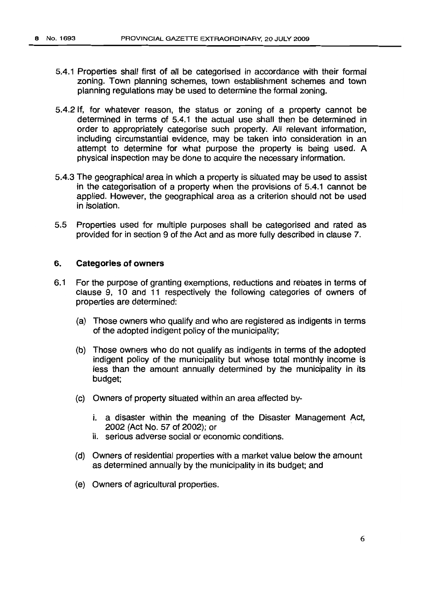- 5.4.1 Properties shall first of all be categorised in accordance with their formal zoning. Town planning schemes, town establishment schemes and town planning regulations may be used to determine the formal zoning.
- 5.4.2 If, for whatever reason, the status or zoning of a property cannot be determined in terms of 5.4.1 the actual use shall then be determined in order to appropriately categorise such property. All relevant information, including circumstantial evidence, may be taken into consideration in an attempt to determine for what purpose the property is being used. A physical inspection may be done to acquire the necessary information.
- 5.4.3 The geographical area in which a property is situated may be used to assist in the categorisation of a property when the provisions of 5.4.1 cannot be applied. However, the geographical area as a criterion should not be used in isolation.
- 5.5 Properties used for multiple purposes shall be categorised and rated as provided for in section 9 of the Act and as more fully described in clause 7.

## 6. **Categories of owners**

- 6.1 For the purpose of granting exemptions, reductions and rebates in terms of clause 9, 10 and 11 respectively the following categories of owners of properties are determined:
	- (a) Those owners who qualify and who are registered as indigents in terms of the adopted indigent policy of the municipality;
	- (b) Those owners who do not qualify as indigents in terms of the adopted indigent policy of the municipality but whose total monthly income is less than the amount annually determined by the municipality in its budget;
	- (c) Owners of property situated within an area affected by
		- i. a disaster within the meaning of the Disaster Management Act, 2002 (Act No. 57 of 2002); or
		- ii. serious adverse social or economic conditions.
	- (d) Owners of residential properties with a market value below the amount as determined annually by the municipality in its budget; and
	- (e) Owners of agricultural properties.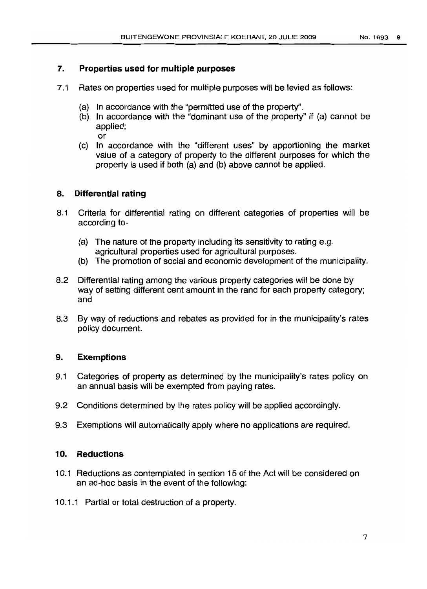# 7. **Properties used for multiple purposes**

- 7.1 Rates on properties used for multiple purposes will be levied as follows:
	- (a) In accordance with the "permitted use of the property".
	- (b) In accordance with the "dominant use of the property" if (a) cannot be applied;

or

(c) In accordance with the "different uses" by apportioning the market value of a category of property to the different purposes for which the property is used if both (a) and (b) above cannot be applied.

# 8. **Differential rating**

- 8.1 Criteria for differential rating on different categories of properties will be according to-
	- (a) The nature of the property including its sensitivity to rating e.g. agricultural properties used for agricultural purposes.
	- (b) The promotion of social and economic development of the municipality.
- 8.2 Differential rating among the various property categories will be done by way of setting different cent amount in the rand for each property category; and
- 8.3 By way of reductions and rebates as provided for in the municipality's rates policy document.

# 9. **Exemptions**

- 9.1 Categories of property as determined by the municipality's rates policy on an annual basis will be exempted from paying rates.
- 9.2 Conditions determined by the rates policy will be applied accordingly.
- 9.3 Exemptions will automatically apply where no applications are required.

# 10. **Reductions**

- 10.1 Reductions as contemplated in section 15 of the Act will be considered on an ad-hoc basis in the event of the following:
- 10.1.1 Partial or total destruction of a property.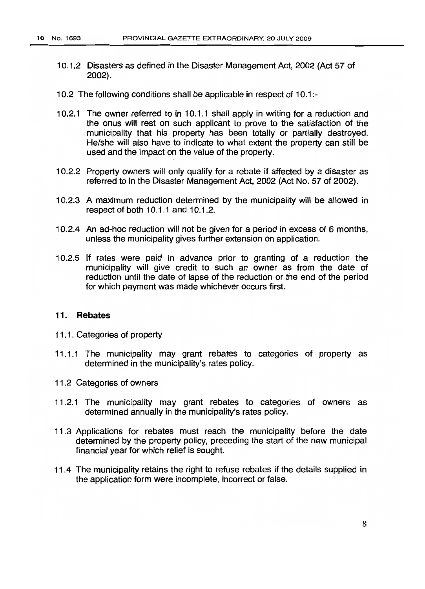- 10.1.2 Disasters as defined in the Disaster Management Act, 2002 (Act 57 of 2002).
- 10.2 The following conditions shall be applicable in respect of 10.1:-
- 10.2.1 The owner referred to in 10.1.1 shall apply in writing for a reduction and the onus will rest on such applicant to prove to the satisfaction of the municipality that his property has been totally or partially destroyed. He/she will also have to indicate to what extent the property can still be used and the impact on the value of the property.
- 10.2.2 Property owners will only qualify for a rebate if affected by a disaster as referred to in the Disaster Management Act, 2002 (Act No. 57 of 2002).
- 10.2.3 A maximum reduction determined by the municipality will be allowed in respect of both 10.1.1 and 10.1.2.
- 10.2.4 An ad-hoc reduction will not be given for a period in excess of 6 months, unless the municipality gives further extension on application.
- 10.2.5 If rates were paid in advance prior to granting of a reduction the municipality will give credit to such an owner as from the date of reduction until the date of lapse of the reduction or the end of the period for which payment was made whichever occurs first.

#### 11. **Rebates**

- 11.1. Categories of property
- 11.1.1 The municipality may grant rebates to categories of property as determined in the municipality's rates policy.
- 11.2 Categories of owners
- 11.2.1 The municipality may grant rebates to categories of owners as determined annually in the municipality's rates policy.
- 11.3 Applications for rebates must reach the municipality before the date determined by the property policy, preceding the start of the new municipal financial year for which relief is sought.
- 11.4 The municipality retains the right to refuse rebates if the details supplied in the application form were incomplete, incorrect or false.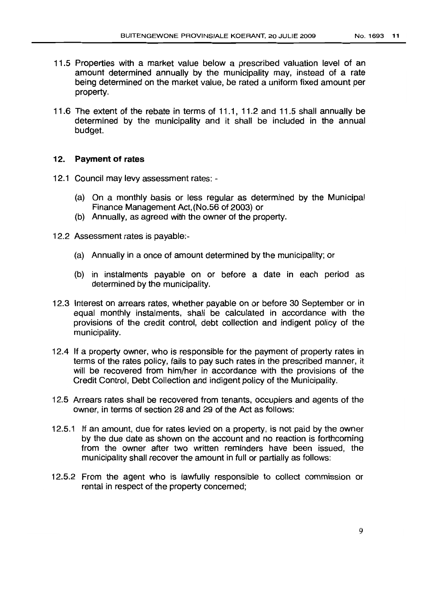- 11.5 Properties with a market value below a prescribed valuation level of an amount determined annually by the municipality may, instead of a rate being determined on the market value, be rated a uniform fixed amount per property.
- 11.6 The extent of the rebate in terms of 11.1, 11.2 and 11.5 shall annually be determined by the municipality and it shall be included in the annual budget.

### 12. Payment of rates

- 12.1 Council may levy assessment rates:
	- (a) On a monthly basis or less regular as determined by the Municipal Finance Management Act,(No.56 of 2003) or
	- (b) Annually, as agreed with the owner of the property.
- 12.2 Assessment rates is payable:-
	- (a) Annually in a once of amount determined by the municipality; or
	- (b) in instalments payable on or before a date in each period as determined by the municipality.
- 12.3 Interest on arrears rates, whether payable on or before 30 September or in equal monthly instalments, shall be calculated in accordance with the provisions of the credit control, debt collection and indigent policy of the municipality.
- 12.4 If a property owner, who is responsible for the payment of property rates in terms of the rates policy, fails to pay such rates in the prescribed manner, it will be recovered from him/her in accordance with the provisions of the Credit Control, Debt Collection and indigent policy of the Municipality.
- 12.5 Arrears rates shall be recovered from tenants, occupiers and agents of the owner, in terms of section 28 and 29 of the Act as follows:
- 12.5.1 If an amount, due for rates levied on a property, is not paid by the owner by the due date as shown on the account and no reaction is forthcoming from the owner after two written reminders have been issued, the municipality shall recover the amount in full or partially as follows:
- 12.5.2 From the agent who is lawfully responsible to collect commission or rental in respect of the property concerned;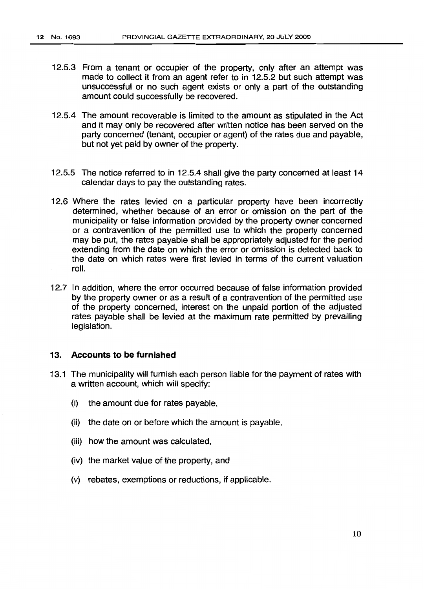- 12.5.3 From a tenant or occupier of the property, only after an attempt was made to collect it from an agent refer to in 12.5.2 but such attempt was unsuccessful or no such agent exists or only a part of the outstanding amount could successfully be recovered.
- 12.5.4 The amount recoverable is limited to the amount as stipulated in the Act and it may only be recovered after written notice has been served on the party concerned (tenant, occupier or agent) of the rates due and payable, but not yet paid by owner of the property.
- 12.5.5 The notice referred to in 12.5.4 shall give the party concerned at least 14 calendar days to pay the outstanding rates.
- 12.6 Where the rates levied on a particular property have been incorrectly determined, whether because of an error or omission on the part of the municipality or false information provided by the property owner concerned or a contravention of the permitted use to which the property concerned may be put, the rates payable shall be appropriately adjusted for the period extending from the date on which the error or omission is detected back to the date on which rates were first levied in terms of the current valuation roll.
- 12.7 In addition, where the error occurred because of false information provided by the property owner or as a result of a contravention of the permitted use of the property concerned, interest on the unpaid portion of the adjusted rates payable shall be levied at the maximum rate permitted by prevailing legislation.

#### **13. Accounts to be furnished**

- 13.1 The municipality will furnish each person liable for the payment of rates with a written account, which will specify:
	- (i) the amount due for rates payable,
	- (ii) the date on or before which the amount is payable,
	- (iii) how the amount was calculated,
	- (iv) the market value of the property, and
	- (v) rebates, exemptions or reductions, if applicable.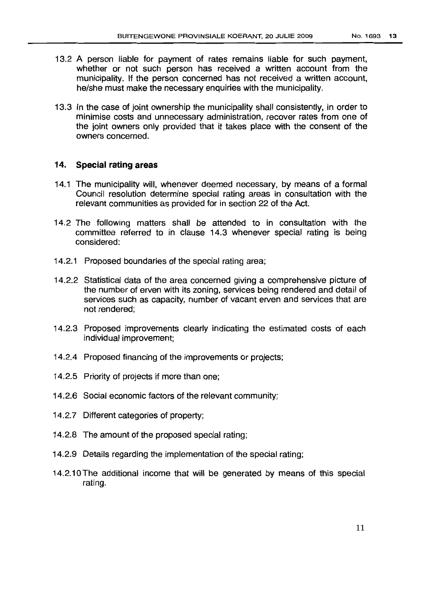- 13.2 A person liable for payment of rates remains liable for such payment, whether or not such person has received a written account from the municipality. If the person concerned has not received a written account, he/she must make the necessary enquiries with the municipality.
- 13.3 In the case of joint ownership the municipality shall consistently, in order to minimise costs and unnecessary administration, recover rates from one of the joint owners only provided that it takes place with the consent of the owners concerned.

## 14. Special rating areas

- 14.1 The municipality will, whenever deemed necessary, by means of a formal Council resolution determine special rating areas in consultation with the relevant communities as provided for in section 22 of the Act.
- 14.2 The following matters shall be attended to in consultation with the committee referred to in clause 14.3 whenever special rating is being considered:
- 14.2.1 Proposed boundaries of the special rating area;
- 14.2.2 Statistical data of the area concerned giving a comprehensive picture of the number of erven with its zoning, services being rendered and detail of services such as capacity, number of vacant erven and services that are not rendered;
- 14.2.3 Proposed improvements clearly indicating the estimated costs of each individual improvement;
- 14.2.4 Proposed financing of the improvements or projects;
- 14.2.5 Priority of projects if more than one;
- 14.2.6 Social economic factors of the relevant community;
- 14.2.7 Different categories of property;
- 14.2.8 The amount of the proposed special rating;
- 14.2.9 Details regarding the implementation of the special rating;
- 14.2.10 The additional income that will be generated by means of this special rating.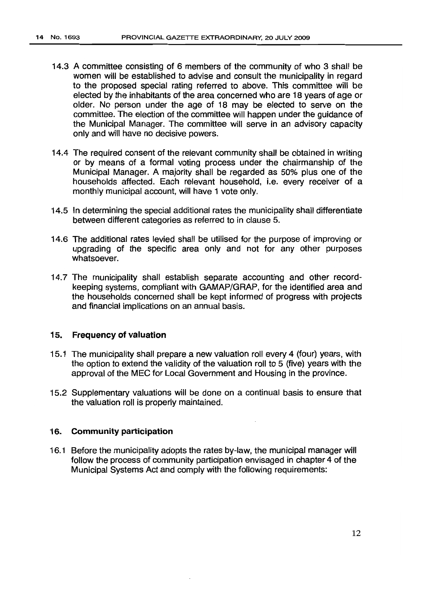- 14.3 A committee consisting of 6 members of the community of who 3 shall be women will be established to advise and consult the municipality in regard to the proposed special rating referred to above. This committee will be elected by the inhabitants of the area concerned who are 18 years of age or older. No person under the age of 18 may be elected to serve on the committee. The election of the committee will happen under the guidance of the Municipal Manager. The committee will serve in an advisory capacity only and will have no decisive powers.
- 14.4 The required consent of the relevant community shall be obtained in writing or by means of a formal voting process under the chairmanship of the Municipal Manager. A majority shall be regarded as 50% plus one of the households affected. Each relevant household, i.e. every receiver of a monthly municipal account, will have 1 vote only.
- 14.5 In determining the special additional rates the municipality shall differentiate between different categories as referred to in clause 5.
- 14.6 The additional rates levied shall be utilised for the purpose of improving or upgrading of the specific area only and not for any other purposes whatsoever.
- 14.7 The municipality shall establish separate accounting and other recordkeeping systems, compliant with GAMAP/GRAP, for the identified area and the households concerned shall be kept informed of progress with projects and financial implications on an annual basis.

### 15. Frequency of valuation

- 15.1 The municipality shall prepare a new valuation roll every 4 (four) years, with the option to extend the validity of the valuation roll to 5 (five) years with the approval of the MEC for Local Government and Housing in the province.
- 15.2 Supplementary valuations will be done on a continual basis to ensure that the valuation roll is properly maintained.

#### 16. Community participation

16.1 Before the municipality adopts the rates by-law, the municipal manager will follow the process of community participation envisaged in chapter 4 of the Municipal Systems Act and comply with the following requirements: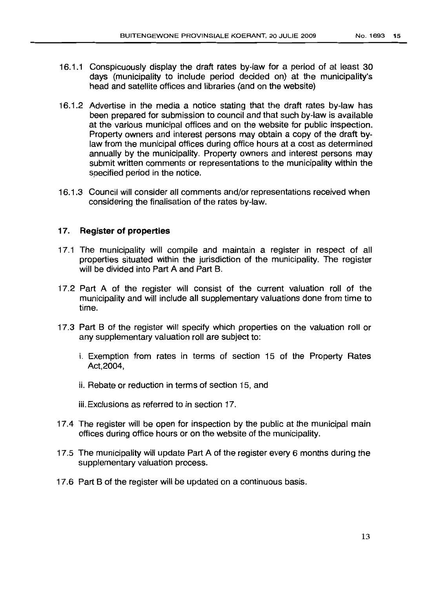- 16.1.1 Conspicuously display the draft rates by-law for a period of at least 30 days (municipality to include period decided on) at the municipality's head and satellite offices and libraries (and on the website)
- 16.1.2 Advertise in the media a notice stating that the draft rates by-law has been prepared for submission to council and that such by-law is available at the various municipal offices and on the website for public inspection. Property owners and interest persons may obtain a copy of the draft bylaw from the municipal offices during office hours at a cost as determined annually by the municipality. Property owners and interest persons may submit written comments or representations to the municipality within the specified period in the notice.
- 16.1.3 Council will consider all comments and/or representations received when considering the finalisation of the rates by-law.

## 17. **Register of properties**

- 17.1 The municipality will compile and maintain a register in respect of all properties situated within the jurisdiction of the municipality. The register will be divided into Part A and Part B.
- 17.2 Part A of the register will consist of the current valuation roll of the municipality and will include all supplementary valuations done from time to time.
- 17.3 Part B of the register will specify which properties on the valuation roll or any supplementary valuation roll are subject to:
	- i. Exemption from rates in terms of section 15 of the Property Rates Act,2004,
	- ii. Rebate or reduction in terms of section 15, and
	- iii.Exclusions as referred to in section 17.
- 17.4 The register will be open for inspection by the public at the municipal main offices during office hours or on the website of the municipality.
- 17.5 The municipality will update Part A of the register every 6 months during the supplementary valuation process.
- 17.6 Part B of the register will be updated on a continuous basis.